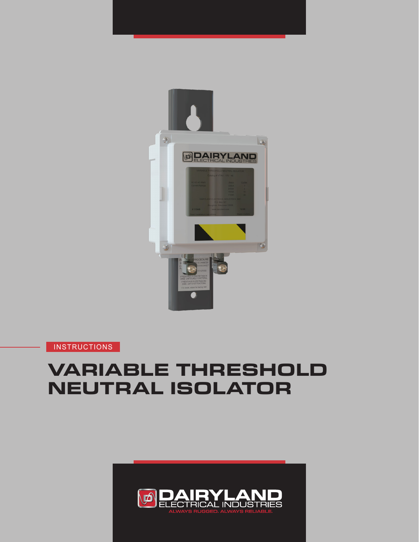

**INSTRUCTIONS** 

# **VARIABLE THRESHOLD NEUTRAL ISOLATOR**

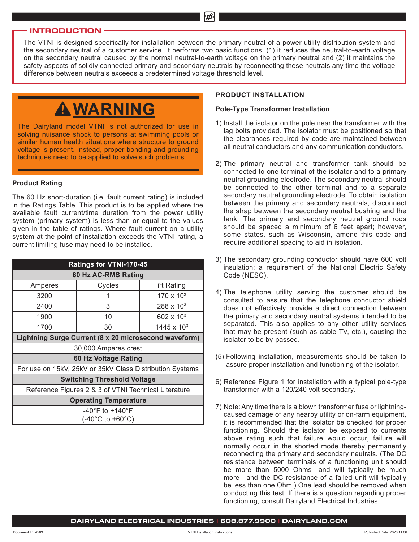### **INTRODUCTION**

The VTNI is designed specifically for installation between the primary neutral of a power utility distribution system and the secondary neutral of a customer service. It performs two basic functions: (1) it reduces the neutral-to-earth voltage on the secondary neutral caused by the normal neutral-to-earth voltage on the primary neutral and (2) it maintains the safety aspects of solidly connected primary and secondary neutrals by reconnecting these neutrals any time the voltage difference between neutrals exceeds a predetermined voltage threshold level.

Ď

# **WARNING**

The Dairyland model VTNI is not authorized for use in solving nuisance shock to persons at swimming pools or similar human health situations where structure to ground voltage is present. Instead, proper bonding and grounding techniques need to be applied to solve such problems.

### **Product Rating**

The 60 Hz short-duration (i.e. fault current rating) is included in the Ratings Table. This product is to be applied where the available fault current/time duration from the power utility system (primary system) is less than or equal to the values given in the table of ratings. Where fault current on a utility system at the point of installation exceeds the VTNI rating, a current limiting fuse may need to be installed.

| Ratings for VTNI-170-45                                  |        |                         |  |  |  |  |
|----------------------------------------------------------|--------|-------------------------|--|--|--|--|
| 60 Hz AC-RMS Rating                                      |        |                         |  |  |  |  |
| Amperes                                                  | Cycles | i <sup>2</sup> t Rating |  |  |  |  |
| 3200                                                     |        | $170 \times 10^{3}$     |  |  |  |  |
| 2400                                                     | 3      | $288 \times 10^{3}$     |  |  |  |  |
| 1900                                                     | 10     | $602 \times 10^{3}$     |  |  |  |  |
| 1700                                                     | 30     | $1445 \times 10^{3}$    |  |  |  |  |
| Lightning Surge Current (8 x 20 microsecond waveform)    |        |                         |  |  |  |  |
| 30,000 Amperes crest                                     |        |                         |  |  |  |  |
| 60 Hz Voltage Rating                                     |        |                         |  |  |  |  |
| For use on 15kV, 25kV or 35kV Class Distribution Systems |        |                         |  |  |  |  |
| <b>Switching Threshold Voltage</b>                       |        |                         |  |  |  |  |
| Reference Figures 2 & 3 of VTNI Technical Literature     |        |                         |  |  |  |  |
| <b>Operating Temperature</b>                             |        |                         |  |  |  |  |
| $-40^{\circ}$ F to $+140^{\circ}$ F                      |        |                         |  |  |  |  |
| $(-40^{\circ}$ C to +60 $^{\circ}$ C)                    |        |                         |  |  |  |  |

# **PRODUCT INSTALLATION**

# **Pole-Type Transformer Installation**

- 1) Install the isolator on the pole near the transformer with the lag bolts provided. The isolator must be positioned so that the clearances required by code are maintained between all neutral conductors and any communication conductors.
- 2) The primary neutral and transformer tank should be connected to one terminal of the isolator and to a primary neutral grounding electrode. The secondary neutral should be connected to the other terminal and to a separate secondary neutral grounding electrode. To obtain isolation between the primary and secondary neutrals, disconnect the strap between the secondary neutral bushing and the tank. The primary and secondary neutral ground rods should be spaced a minimum of 6 feet apart; however, some states, such as Wisconsin, amend this code and require additional spacing to aid in isolation.
- 3) The secondary grounding conductor should have 600 volt insulation; a requirement of the National Electric Safety Code (NESC).
- 4) The telephone utility serving the customer should be consulted to assure that the telephone conductor shield does not effectively provide a direct connection between the primary and secondary neutral systems intended to be separated. This also applies to any other utility services that may be present (such as cable TV, etc.), causing the isolator to be by-passed.
- (5) Following installation, measurements should be taken to assure proper installation and functioning of the isolator.
- 6) Reference Figure 1 for installation with a typical pole-type transformer with a 120/240 volt secondary.
- 7) Note: Any time there is a blown transformer fuse or lightningcaused damage of any nearby utility or on-farm equipment, it is recommended that the isolator be checked for proper functioning. Should the isolator be exposed to currents above rating such that failure would occur, failure will normally occur in the shorted mode thereby permanently reconnecting the primary and secondary neutrals. (The DC resistance between terminals of a functioning unit should be more than 5000 Ohms—and will typically be much more—and the DC resistance of a failed unit will typically be less than one Ohm.) One lead should be removed when conducting this test. If there is a question regarding proper functioning, consult Dairyland Electrical Industries.

### **DAIRYLAND ELECTRICAL INDUSTRIES | 608.877.9900 | DAIRYLAND.COM**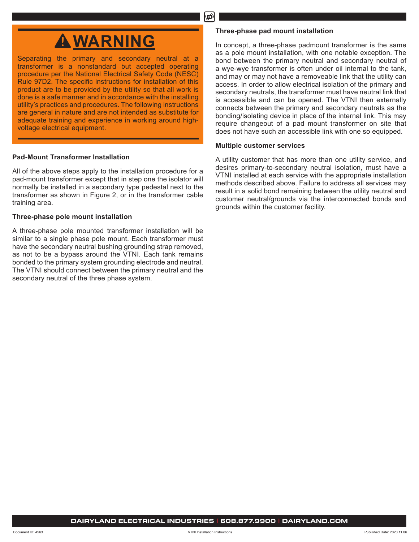# மி

# **WARNING**

Separating the primary and secondary neutral at a transformer is a nonstandard but accepted operating procedure per the National Electrical Safety Code (NESC) Rule 97D2. The specific instructions for installation of this product are to be provided by the utility so that all work is done is a safe manner and in accordance with the installing utility's practices and procedures. The following instructions are general in nature and are not intended as substitute for adequate training and experience in working around highvoltage electrical equipment.

# **Pad-Mount Transformer Installation**

All of the above steps apply to the installation procedure for a pad-mount transformer except that in step one the isolator will normally be installed in a secondary type pedestal next to the transformer as shown in Figure 2, or in the transformer cable training area.

# **Three-phase pole mount installation**

A three-phase pole mounted transformer installation will be similar to a single phase pole mount. Each transformer must have the secondary neutral bushing grounding strap removed, as not to be a bypass around the VTNI. Each tank remains bonded to the primary system grounding electrode and neutral. The VTNI should connect between the primary neutral and the secondary neutral of the three phase system.

# **Three-phase pad mount installation**

In concept, a three-phase padmount transformer is the same as a pole mount installation, with one notable exception. The bond between the primary neutral and secondary neutral of a wye-wye transformer is often under oil internal to the tank, and may or may not have a removeable link that the utility can access. In order to allow electrical isolation of the primary and secondary neutrals, the transformer must have neutral link that is accessible and can be opened. The VTNI then externally connects between the primary and secondary neutrals as the bonding/isolating device in place of the internal link. This may require changeout of a pad mount transformer on site that does not have such an accessible link with one so equipped.

# **Multiple customer services**

A utility customer that has more than one utility service, and desires primary-to-secondary neutral isolation, must have a VTNI installed at each service with the appropriate installation methods described above. Failure to address all services may result in a solid bond remaining between the utility neutral and customer neutral/grounds via the interconnected bonds and grounds within the customer facility.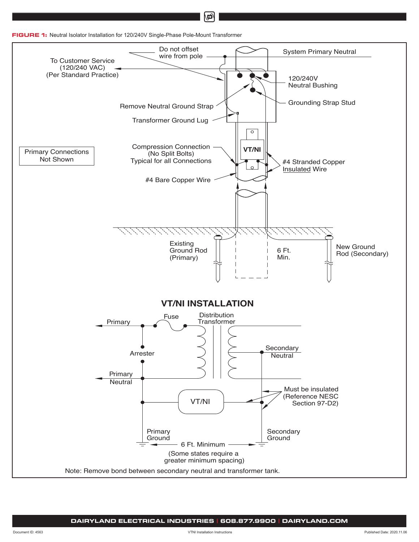



Ď

**DAIRYLAND ELECTRICAL INDUSTRIES | 608.877.9900 | DAIRYLAND.COM**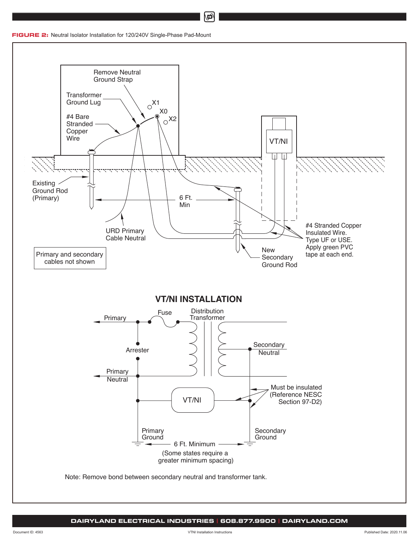**FIGURE 2:** Neutral Isolator Installation for 120/240V Single-Phase Pad-Mount



மி